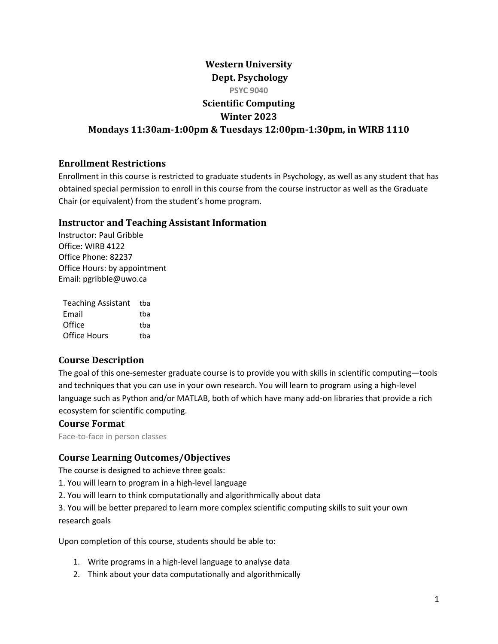# **Western University Dept. Psychology PSYC 9040 Scientific Computing Winter 2023 Mondays 11:30am-1:00pm & Tuesdays 12:00pm-1:30pm, in WIRB 1110**

## **Enrollment Restrictions**

Enrollment in this course is restricted to graduate students in Psychology, as well as any student that has obtained special permission to enroll in this course from the course instructor as well as the Graduate Chair (or equivalent) from the student's home program.

# **Instructor and Teaching Assistant Information**

Instructor: Paul Gribble Office: WIRB 4122 Office Phone: 82237 Office Hours: by appointment Email: pgribble@uwo.ca

| <b>Teaching Assistant</b> | tba |
|---------------------------|-----|
| Email                     | tba |
| Office                    | tba |
| Office Hours              | tha |

# **Course Description**

The goal of this one-semester graduate course is to provide you with skills in scientific computing—tools and techniques that you can use in your own research. You will learn to program using a high-level language such as Python and/or MATLAB, both of which have many add-on libraries that provide a rich ecosystem for scientific computing.

#### **Course Format**

Face-to-face in person classes

## **Course Learning Outcomes/Objectives**

The course is designed to achieve three goals:

- 1. You will learn to program in a high-level language
- 2. You will learn to think computationally and algorithmically about data

3. You will be better prepared to learn more complex scientific computing skills to suit your own research goals

Upon completion of this course, students should be able to:

- 1. Write programs in a high-level language to analyse data
- 2. Think about your data computationally and algorithmically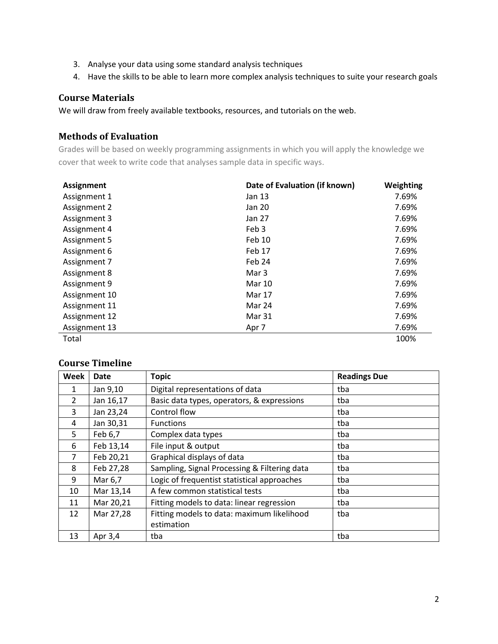- 3. Analyse your data using some standard analysis techniques
- 4. Have the skills to be able to learn more complex analysis techniques to suite your research goals

#### **Course Materials**

We will draw from freely available textbooks, resources, and tutorials on the web.

#### **Methods of Evaluation**

Grades will be based on weekly programming assignments in which you will apply the knowledge we cover that week to write code that analyses sample data in specific ways.

| <b>Assignment</b> | Date of Evaluation (if known) | Weighting |
|-------------------|-------------------------------|-----------|
| Assignment 1      | Jan 13                        | 7.69%     |
| Assignment 2      | Jan 20                        | 7.69%     |
| Assignment 3      | Jan 27                        | 7.69%     |
| Assignment 4      | Feb <sub>3</sub>              | 7.69%     |
| Assignment 5      | Feb 10                        | 7.69%     |
| Assignment 6      | Feb 17                        | 7.69%     |
| Assignment 7      | Feb 24                        | 7.69%     |
| Assignment 8      | Mar 3                         | 7.69%     |
| Assignment 9      | Mar 10                        | 7.69%     |
| Assignment 10     | Mar 17                        | 7.69%     |
| Assignment 11     | Mar 24                        | 7.69%     |
| Assignment 12     | Mar 31                        | 7.69%     |
| Assignment 13     | Apr 7                         | 7.69%     |
| Total             |                               | 100%      |

# **Course Timeline**

| Week           | <b>Date</b> | <b>Topic</b>                                 | <b>Readings Due</b> |
|----------------|-------------|----------------------------------------------|---------------------|
| 1              | Jan 9,10    | Digital representations of data              | tba                 |
| $\mathfrak{D}$ | Jan 16,17   | Basic data types, operators, & expressions   | tba                 |
| 3              | Jan 23,24   | Control flow                                 | tba                 |
| 4              | Jan 30,31   | <b>Functions</b>                             | tba                 |
| 5              | Feb 6,7     | Complex data types                           | tba                 |
| 6              | Feb 13,14   | File input & output                          | tba                 |
| 7              | Feb 20,21   | Graphical displays of data                   | tba                 |
| 8              | Feb 27,28   | Sampling, Signal Processing & Filtering data | tba                 |
| 9              | Mar 6,7     | Logic of frequentist statistical approaches  | tba                 |
| 10             | Mar 13,14   | A few common statistical tests               | tba                 |
| 11             | Mar 20,21   | Fitting models to data: linear regression    | tba                 |
| 12             | Mar 27,28   | Fitting models to data: maximum likelihood   | tba                 |
|                |             | estimation                                   |                     |
| 13             | Apr 3,4     | tba                                          | tba                 |